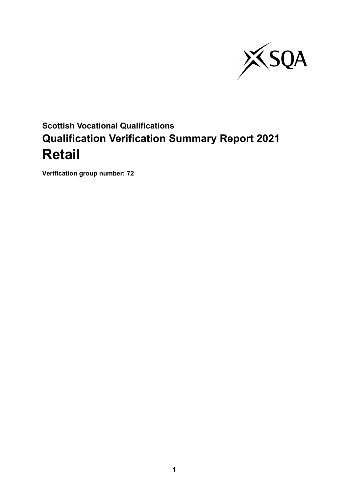

# **Scottish Vocational Qualifications Qualification Verification Summary Report 2021 Retail**

**Verification group number: 72**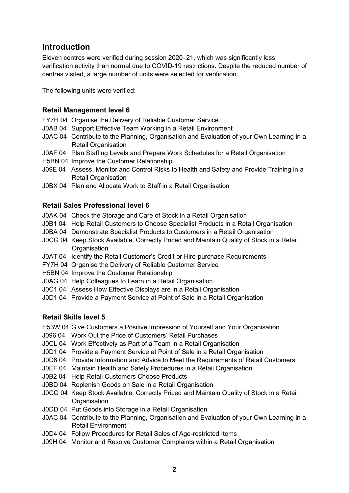### **Introduction**

Eleven centres were verified during session 2020–21, which was significantly less verification activity than normal due to COVID-19 restrictions. Despite the reduced number of centres visited, a large number of units were selected for verification.

The following units were verified:

#### **Retail Management level 6**

- FY7H 04 Organise the Delivery of Reliable Customer Service
- J0AB 04 Support Effective Team Working in a Retail Environment
- J0AC 04 Contribute to the Planning, Organisation and Evaluation of your Own Learning in a Retail Organisation
- J0AF 04 Plan Staffing Levels and Prepare Work Schedules for a Retail Organisation
- H5BN 04 Improve the Customer Relationship
- J09E 04 Assess, Monitor and Control Risks to Health and Safety and Provide Training in a Retail Organisation
- J0BX 04 Plan and Allocate Work to Staff in a Retail Organisation

#### **Retail Sales Professional level 6**

- J0AK 04 Check the Storage and Care of Stock in a Retail Organisation
- J0B1 04 Help Retail Customers to Choose Specialist Products in a Retail Organisation
- J0BA 04 Demonstrate Specialist Products to Customers in a Retail Organisation
- J0CG 04 Keep Stock Available, Correctly Priced and Maintain Quality of Stock in a Retail **Organisation**
- J0AT 04 Identify the Retail Customer's Credit or Hire-purchase Requirements
- FY7H 04 Organise the Delivery of Reliable Customer Service
- H5BN 04 Improve the Customer Relationship
- J0AG 04 Help Colleagues to Learn in a Retail Organisation
- J0C1 04 Assess How Effective Displays are in a Retail Organisation
- J0D1 04 Provide a Payment Service at Point of Sale in a Retail Organisation

#### **Retail Skills level 5**

- H53W 04 Give Customers a Positive Impression of Yourself and Your Organisation
- J096 04 Work Out the Price of Customers' Retail Purchases
- J0CL 04 Work Effectively as Part of a Team in a Retail Organisation
- J0D1 04 Provide a Payment Service at Point of Sale in a Retail Organisation
- J0D6 04 Provide Information and Advice to Meet the Requirements of Retail Customers
- J0EF 04 Maintain Health and Safety Procedures in a Retail Organisation
- J0B2 04 Help Retail Customers Choose Products
- J0BD 04 Replenish Goods on Sale in a Retail Organisation
- J0CG 04 Keep Stock Available, Correctly Priced and Maintain Quality of Stock in a Retail **Organisation**
- J0DD 04 Put Goods into Storage in a Retail Organisation
- J0AC 04 Contribute to the Planning, Organisation and Evaluation of your Own Learning in a Retail Environment
- J0D4 04 Follow Procedures for Retail Sales of Age-restricted Items
- J09H 04 Monitor and Resolve Customer Complaints within a Retail Organisation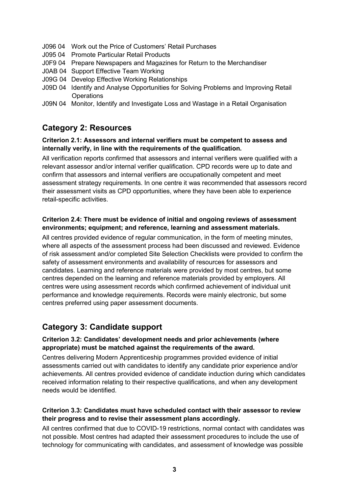- J096 04 Work out the Price of Customers' Retail Purchases
- J095 04 Promote Particular Retail Products
- J0F9 04 Prepare Newspapers and Magazines for Return to the Merchandiser
- J0AB 04 Support Effective Team Working
- J09G 04 Develop Effective Working Relationships
- J09D 04 Identify and Analyse Opportunities for Solving Problems and Improving Retail **Operations**
- J09N 04 Monitor, Identify and Investigate Loss and Wastage in a Retail Organisation

# **Category 2: Resources**

#### **Criterion 2.1: Assessors and internal verifiers must be competent to assess and internally verify, in line with the requirements of the qualification.**

All verification reports confirmed that assessors and internal verifiers were qualified with a relevant assessor and/or internal verifier qualification. CPD records were up to date and confirm that assessors and internal verifiers are occupationally competent and meet assessment strategy requirements. In one centre it was recommended that assessors record their assessment visits as CPD opportunities, where they have been able to experience retail-specific activities.

#### **Criterion 2.4: There must be evidence of initial and ongoing reviews of assessment environments; equipment; and reference, learning and assessment materials.**

All centres provided evidence of regular communication, in the form of meeting minutes, where all aspects of the assessment process had been discussed and reviewed. Evidence of risk assessment and/or completed Site Selection Checklists were provided to confirm the safety of assessment environments and availability of resources for assessors and candidates. Learning and reference materials were provided by most centres, but some centres depended on the learning and reference materials provided by employers. All centres were using assessment records which confirmed achievement of individual unit performance and knowledge requirements. Records were mainly electronic, but some centres preferred using paper assessment documents.

# **Category 3: Candidate support**

#### **Criterion 3.2: Candidates' development needs and prior achievements (where appropriate) must be matched against the requirements of the award.**

Centres delivering Modern Apprenticeship programmes provided evidence of initial assessments carried out with candidates to identify any candidate prior experience and/or achievements. All centres provided evidence of candidate induction during which candidates received information relating to their respective qualifications, and when any development needs would be identified.

#### **Criterion 3.3: Candidates must have scheduled contact with their assessor to review their progress and to revise their assessment plans accordingly.**

All centres confirmed that due to COVID-19 restrictions, normal contact with candidates was not possible. Most centres had adapted their assessment procedures to include the use of technology for communicating with candidates, and assessment of knowledge was possible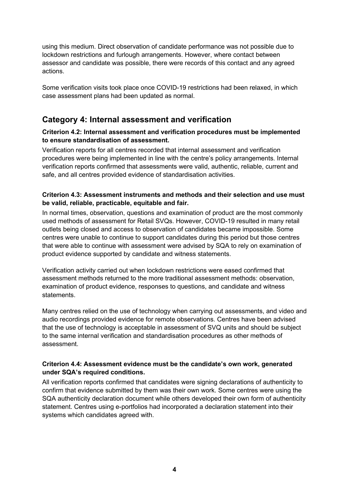using this medium. Direct observation of candidate performance was not possible due to lockdown restrictions and furlough arrangements. However, where contact between assessor and candidate was possible, there were records of this contact and any agreed actions.

Some verification visits took place once COVID-19 restrictions had been relaxed, in which case assessment plans had been updated as normal.

# **Category 4: Internal assessment and verification**

#### **Criterion 4.2: Internal assessment and verification procedures must be implemented to ensure standardisation of assessment.**

Verification reports for all centres recorded that internal assessment and verification procedures were being implemented in line with the centre's policy arrangements. Internal verification reports confirmed that assessments were valid, authentic, reliable, current and safe, and all centres provided evidence of standardisation activities.

#### **Criterion 4.3: Assessment instruments and methods and their selection and use must be valid, reliable, practicable, equitable and fair.**

In normal times, observation, questions and examination of product are the most commonly used methods of assessment for Retail SVQs. However, COVID-19 resulted in many retail outlets being closed and access to observation of candidates became impossible. Some centres were unable to continue to support candidates during this period but those centres that were able to continue with assessment were advised by SQA to rely on examination of product evidence supported by candidate and witness statements.

Verification activity carried out when lockdown restrictions were eased confirmed that assessment methods returned to the more traditional assessment methods: observation, examination of product evidence, responses to questions, and candidate and witness statements.

Many centres relied on the use of technology when carrying out assessments, and video and audio recordings provided evidence for remote observations. Centres have been advised that the use of technology is acceptable in assessment of SVQ units and should be subject to the same internal verification and standardisation procedures as other methods of assessment.

#### **Criterion 4.4: Assessment evidence must be the candidate's own work, generated under SQA's required conditions.**

All verification reports confirmed that candidates were signing declarations of authenticity to confirm that evidence submitted by them was their own work. Some centres were using the SQA authenticity declaration document while others developed their own form of authenticity statement. Centres using e-portfolios had incorporated a declaration statement into their systems which candidates agreed with.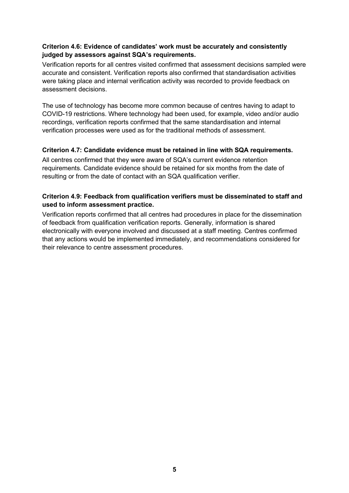#### **Criterion 4.6: Evidence of candidates' work must be accurately and consistently judged by assessors against SQA's requirements.**

Verification reports for all centres visited confirmed that assessment decisions sampled were accurate and consistent. Verification reports also confirmed that standardisation activities were taking place and internal verification activity was recorded to provide feedback on assessment decisions.

The use of technology has become more common because of centres having to adapt to COVID-19 restrictions. Where technology had been used, for example, video and/or audio recordings, verification reports confirmed that the same standardisation and internal verification processes were used as for the traditional methods of assessment.

#### **Criterion 4.7: Candidate evidence must be retained in line with SQA requirements.**

All centres confirmed that they were aware of SQA's current evidence retention requirements. Candidate evidence should be retained for six months from the date of resulting or from the date of contact with an SQA qualification verifier.

#### **Criterion 4.9: Feedback from qualification verifiers must be disseminated to staff and used to inform assessment practice.**

Verification reports confirmed that all centres had procedures in place for the dissemination of feedback from qualification verification reports. Generally, information is shared electronically with everyone involved and discussed at a staff meeting. Centres confirmed that any actions would be implemented immediately, and recommendations considered for their relevance to centre assessment procedures.